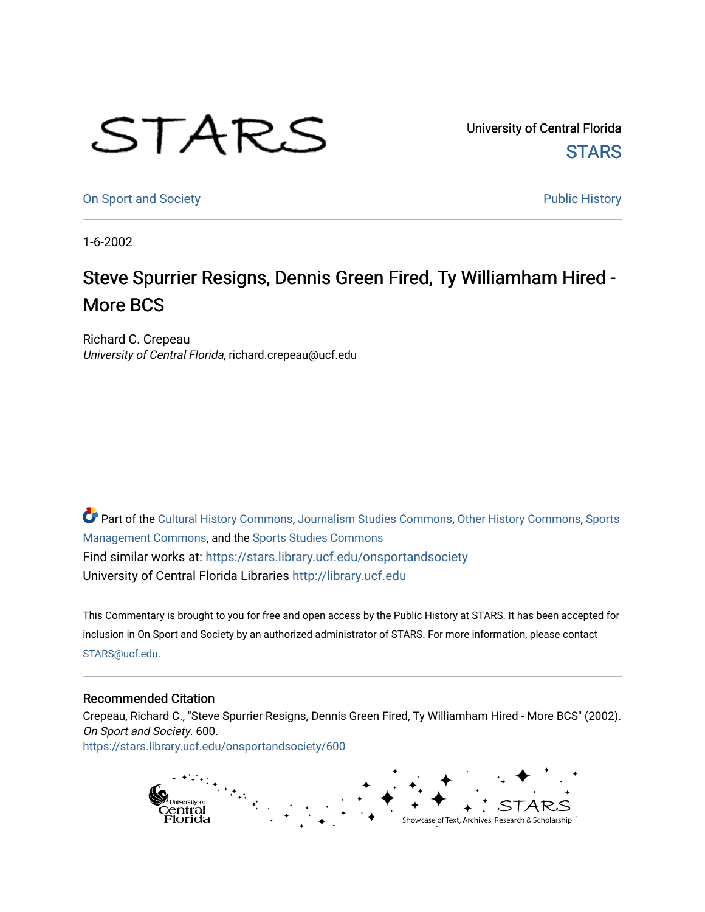## STARS

University of Central Florida **STARS** 

[On Sport and Society](https://stars.library.ucf.edu/onsportandsociety) **Public History Public History** 

1-6-2002

## Steve Spurrier Resigns, Dennis Green Fired, Ty Williamham Hired -More BCS

Richard C. Crepeau University of Central Florida, richard.crepeau@ucf.edu

Part of the [Cultural History Commons](http://network.bepress.com/hgg/discipline/496?utm_source=stars.library.ucf.edu%2Fonsportandsociety%2F600&utm_medium=PDF&utm_campaign=PDFCoverPages), [Journalism Studies Commons,](http://network.bepress.com/hgg/discipline/333?utm_source=stars.library.ucf.edu%2Fonsportandsociety%2F600&utm_medium=PDF&utm_campaign=PDFCoverPages) [Other History Commons,](http://network.bepress.com/hgg/discipline/508?utm_source=stars.library.ucf.edu%2Fonsportandsociety%2F600&utm_medium=PDF&utm_campaign=PDFCoverPages) [Sports](http://network.bepress.com/hgg/discipline/1193?utm_source=stars.library.ucf.edu%2Fonsportandsociety%2F600&utm_medium=PDF&utm_campaign=PDFCoverPages) [Management Commons](http://network.bepress.com/hgg/discipline/1193?utm_source=stars.library.ucf.edu%2Fonsportandsociety%2F600&utm_medium=PDF&utm_campaign=PDFCoverPages), and the [Sports Studies Commons](http://network.bepress.com/hgg/discipline/1198?utm_source=stars.library.ucf.edu%2Fonsportandsociety%2F600&utm_medium=PDF&utm_campaign=PDFCoverPages) Find similar works at: <https://stars.library.ucf.edu/onsportandsociety> University of Central Florida Libraries [http://library.ucf.edu](http://library.ucf.edu/) 

This Commentary is brought to you for free and open access by the Public History at STARS. It has been accepted for inclusion in On Sport and Society by an authorized administrator of STARS. For more information, please contact [STARS@ucf.edu](mailto:STARS@ucf.edu).

## Recommended Citation

Crepeau, Richard C., "Steve Spurrier Resigns, Dennis Green Fired, Ty Williamham Hired - More BCS" (2002). On Sport and Society. 600. [https://stars.library.ucf.edu/onsportandsociety/600](https://stars.library.ucf.edu/onsportandsociety/600?utm_source=stars.library.ucf.edu%2Fonsportandsociety%2F600&utm_medium=PDF&utm_campaign=PDFCoverPages)

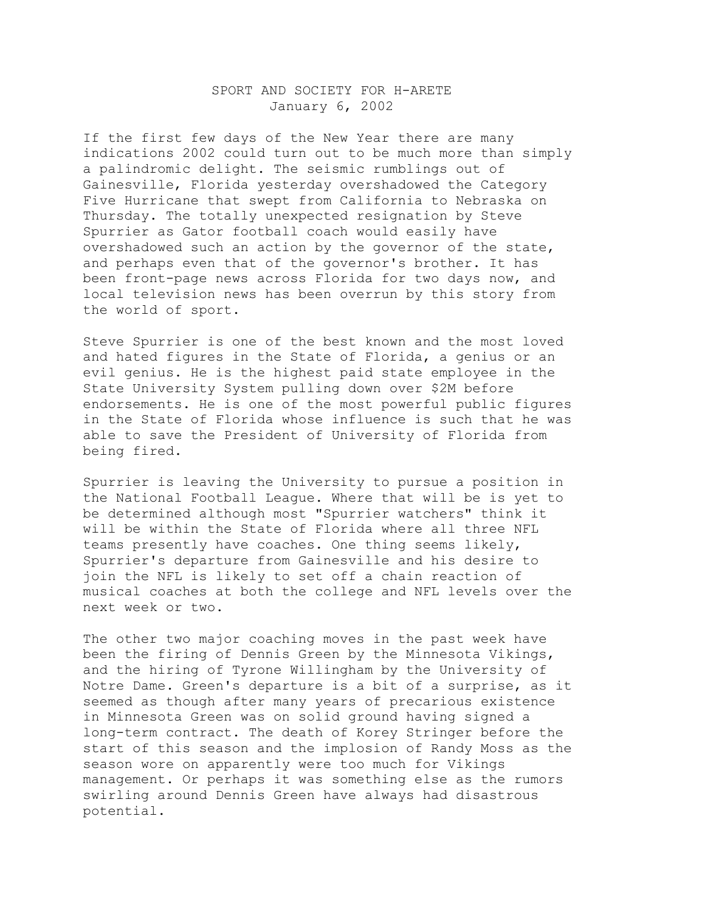## SPORT AND SOCIETY FOR H-ARETE January 6, 2002

If the first few days of the New Year there are many indications 2002 could turn out to be much more than simply a palindromic delight. The seismic rumblings out of Gainesville, Florida yesterday overshadowed the Category Five Hurricane that swept from California to Nebraska on Thursday. The totally unexpected resignation by Steve Spurrier as Gator football coach would easily have overshadowed such an action by the governor of the state, and perhaps even that of the governor's brother. It has been front-page news across Florida for two days now, and local television news has been overrun by this story from the world of sport.

Steve Spurrier is one of the best known and the most loved and hated figures in the State of Florida, a genius or an evil genius. He is the highest paid state employee in the State University System pulling down over \$2M before endorsements. He is one of the most powerful public figures in the State of Florida whose influence is such that he was able to save the President of University of Florida from being fired.

Spurrier is leaving the University to pursue a position in the National Football League. Where that will be is yet to be determined although most "Spurrier watchers" think it will be within the State of Florida where all three NFL teams presently have coaches. One thing seems likely, Spurrier's departure from Gainesville and his desire to join the NFL is likely to set off a chain reaction of musical coaches at both the college and NFL levels over the next week or two.

The other two major coaching moves in the past week have been the firing of Dennis Green by the Minnesota Vikings, and the hiring of Tyrone Willingham by the University of Notre Dame. Green's departure is a bit of a surprise, as it seemed as though after many years of precarious existence in Minnesota Green was on solid ground having signed a long-term contract. The death of Korey Stringer before the start of this season and the implosion of Randy Moss as the season wore on apparently were too much for Vikings management. Or perhaps it was something else as the rumors swirling around Dennis Green have always had disastrous potential.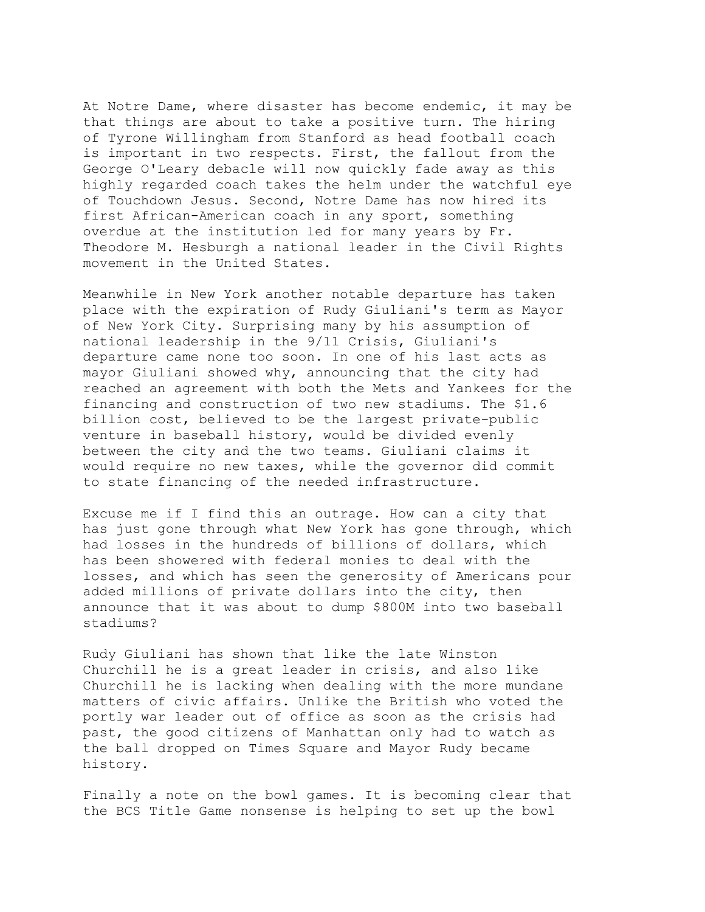At Notre Dame, where disaster has become endemic, it may be that things are about to take a positive turn. The hiring of Tyrone Willingham from Stanford as head football coach is important in two respects. First, the fallout from the George O'Leary debacle will now quickly fade away as this highly regarded coach takes the helm under the watchful eye of Touchdown Jesus. Second, Notre Dame has now hired its first African-American coach in any sport, something overdue at the institution led for many years by Fr. Theodore M. Hesburgh a national leader in the Civil Rights movement in the United States.

Meanwhile in New York another notable departure has taken place with the expiration of Rudy Giuliani's term as Mayor of New York City. Surprising many by his assumption of national leadership in the 9/11 Crisis, Giuliani's departure came none too soon. In one of his last acts as mayor Giuliani showed why, announcing that the city had reached an agreement with both the Mets and Yankees for the financing and construction of two new stadiums. The \$1.6 billion cost, believed to be the largest private-public venture in baseball history, would be divided evenly between the city and the two teams. Giuliani claims it would require no new taxes, while the governor did commit to state financing of the needed infrastructure.

Excuse me if I find this an outrage. How can a city that has just gone through what New York has gone through, which had losses in the hundreds of billions of dollars, which has been showered with federal monies to deal with the losses, and which has seen the generosity of Americans pour added millions of private dollars into the city, then announce that it was about to dump \$800M into two baseball stadiums?

Rudy Giuliani has shown that like the late Winston Churchill he is a great leader in crisis, and also like Churchill he is lacking when dealing with the more mundane matters of civic affairs. Unlike the British who voted the portly war leader out of office as soon as the crisis had past, the good citizens of Manhattan only had to watch as the ball dropped on Times Square and Mayor Rudy became history.

Finally a note on the bowl games. It is becoming clear that the BCS Title Game nonsense is helping to set up the bowl